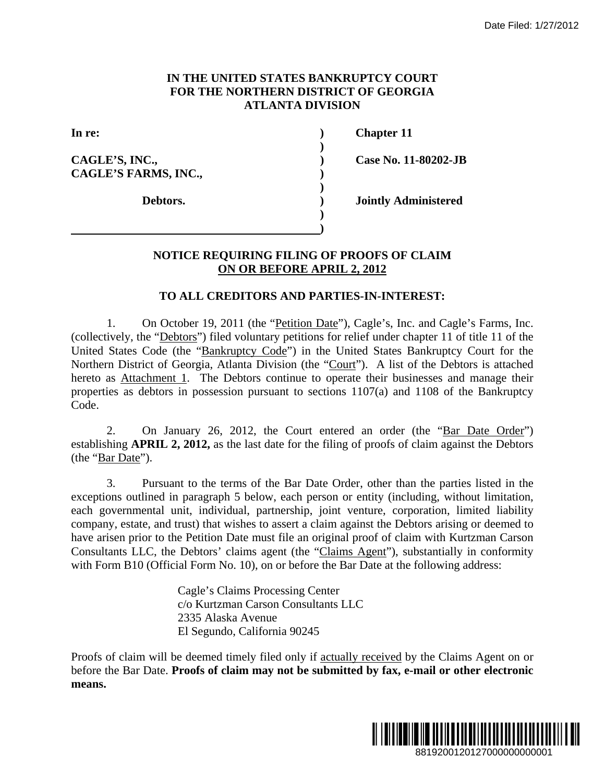#### **IN THE UNITED STATES BANKRUPTCY COURT FOR THE NORTHERN DISTRICT OF GEORGIA ATLANTA DIVISION**

**CAGLE'S, INC., ) Case No. 11-80202-JB**  CAGLE'S FARMS, INC.,

 **)** 

 **)** 

 **) )** 

**In re: ) Chapter 11** 

 **Debtors. ) Jointly Administered** 

### **NOTICE REQUIRING FILING OF PROOFS OF CLAIM ON OR BEFORE APRIL 2, 2012**

#### **TO ALL CREDITORS AND PARTIES-IN-INTEREST:**

1. On October 19, 2011 (the "Petition Date"), Cagle's, Inc. and Cagle's Farms, Inc. (collectively, the "Debtors") filed voluntary petitions for relief under chapter 11 of title 11 of the United States Code (the "Bankruptcy Code") in the United States Bankruptcy Court for the Northern District of Georgia, Atlanta Division (the "Court"). A list of the Debtors is attached hereto as Attachment 1. The Debtors continue to operate their businesses and manage their properties as debtors in possession pursuant to sections 1107(a) and 1108 of the Bankruptcy Code.

2. On January 26, 2012, the Court entered an order (the "Bar Date Order") establishing **APRIL 2, 2012,** as the last date for the filing of proofs of claim against the Debtors (the "Bar Date").

3. Pursuant to the terms of the Bar Date Order, other than the parties listed in the exceptions outlined in paragraph 5 below, each person or entity (including, without limitation, each governmental unit, individual, partnership, joint venture, corporation, limited liability company, estate, and trust) that wishes to assert a claim against the Debtors arising or deemed to have arisen prior to the Petition Date must file an original proof of claim with Kurtzman Carson Consultants LLC, the Debtors' claims agent (the "Claims Agent"), substantially in conformity with Form B10 (Official Form No. 10), on or before the Bar Date at the following address: Date Filed: 1/27/2012<br>
URT<br>
JHA<br>
-80202-JB<br>
innistered<br>
LLAIM<br>
LEST:<br>
and Cagle's Farms, Inc.<br>
apter 11 of tite 11 of the<br>
the Debtors is attached<br>
the Debtors is attached<br>
1108 of the Bankruptcy<br>
the "Bar Date Order")<br>
la

Cagle's Claims Processing Center c/o Kurtzman Carson Consultants LLC 2335 Alaska Avenue El Segundo, California 90245

Proofs of claim will be deemed timely filed only if actually received by the Claims Agent on or before the Bar Date. **Proofs of claim may not be submitted by fax, e-mail or other electronic means.**

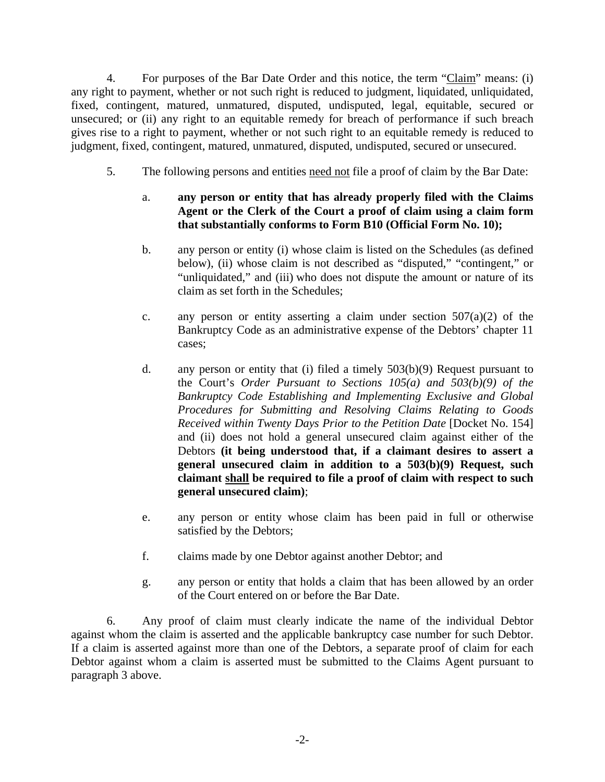4. For purposes of the Bar Date Order and this notice, the term "Claim" means: (i) any right to payment, whether or not such right is reduced to judgment, liquidated, unliquidated, fixed, contingent, matured, unmatured, disputed, undisputed, legal, equitable, secured or unsecured; or (ii) any right to an equitable remedy for breach of performance if such breach gives rise to a right to payment, whether or not such right to an equitable remedy is reduced to judgment, fixed, contingent, matured, unmatured, disputed, undisputed, secured or unsecured.

5. The following persons and entities need not file a proof of claim by the Bar Date:

## a. **any person or entity that has already properly filed with the Claims Agent or the Clerk of the Court a proof of claim using a claim form that substantially conforms to Form B10 (Official Form No. 10);**

- b. any person or entity (i) whose claim is listed on the Schedules (as defined below), (ii) whose claim is not described as "disputed," "contingent," or "unliquidated," and (iii) who does not dispute the amount or nature of its claim as set forth in the Schedules;
- c. any person or entity asserting a claim under section  $507(a)(2)$  of the Bankruptcy Code as an administrative expense of the Debtors' chapter 11 cases;
- d. any person or entity that (i) filed a timely 503(b)(9) Request pursuant to the Court's *Order Pursuant to Sections 105(a) and 503(b)(9) of the Bankruptcy Code Establishing and Implementing Exclusive and Global Procedures for Submitting and Resolving Claims Relating to Goods Received within Twenty Days Prior to the Petition Date* [Docket No. 154] and (ii) does not hold a general unsecured claim against either of the Debtors **(it being understood that, if a claimant desires to assert a general unsecured claim in addition to a 503(b)(9) Request, such claimant shall be required to file a proof of claim with respect to such general unsecured claim)**;
- e. any person or entity whose claim has been paid in full or otherwise satisfied by the Debtors;
- f. claims made by one Debtor against another Debtor; and
- g. any person or entity that holds a claim that has been allowed by an order of the Court entered on or before the Bar Date.

6. Any proof of claim must clearly indicate the name of the individual Debtor against whom the claim is asserted and the applicable bankruptcy case number for such Debtor. If a claim is asserted against more than one of the Debtors, a separate proof of claim for each Debtor against whom a claim is asserted must be submitted to the Claims Agent pursuant to paragraph 3 above.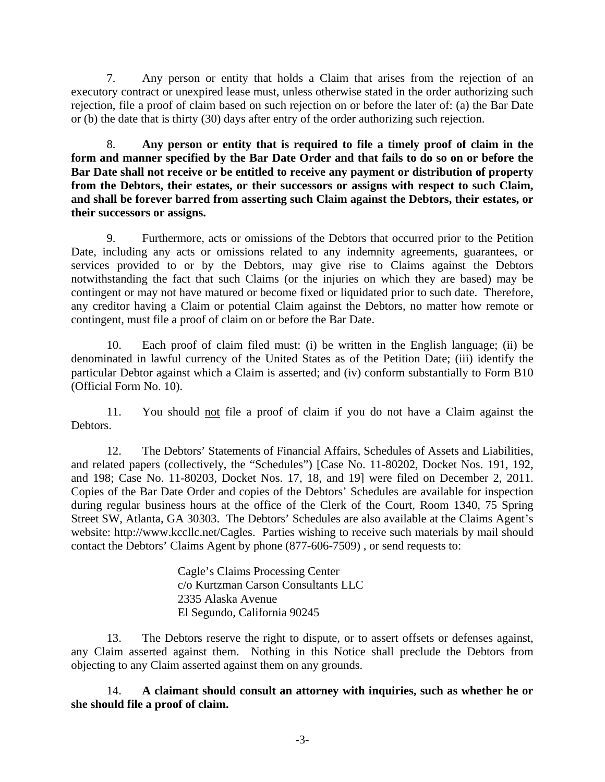7. Any person or entity that holds a Claim that arises from the rejection of an executory contract or unexpired lease must, unless otherwise stated in the order authorizing such rejection, file a proof of claim based on such rejection on or before the later of: (a) the Bar Date or (b) the date that is thirty (30) days after entry of the order authorizing such rejection.

8. **Any person or entity that is required to file a timely proof of claim in the form and manner specified by the Bar Date Order and that fails to do so on or before the Bar Date shall not receive or be entitled to receive any payment or distribution of property from the Debtors, their estates, or their successors or assigns with respect to such Claim, and shall be forever barred from asserting such Claim against the Debtors, their estates, or their successors or assigns.** 

9. Furthermore, acts or omissions of the Debtors that occurred prior to the Petition Date, including any acts or omissions related to any indemnity agreements, guarantees, or services provided to or by the Debtors, may give rise to Claims against the Debtors notwithstanding the fact that such Claims (or the injuries on which they are based) may be contingent or may not have matured or become fixed or liquidated prior to such date. Therefore, any creditor having a Claim or potential Claim against the Debtors, no matter how remote or contingent, must file a proof of claim on or before the Bar Date.

10. Each proof of claim filed must: (i) be written in the English language; (ii) be denominated in lawful currency of the United States as of the Petition Date; (iii) identify the particular Debtor against which a Claim is asserted; and (iv) conform substantially to Form B10 (Official Form No. 10).

11. You should not file a proof of claim if you do not have a Claim against the Debtors.

12. The Debtors' Statements of Financial Affairs, Schedules of Assets and Liabilities, and related papers (collectively, the "Schedules") [Case No. 11-80202, Docket Nos. 191, 192, and 198; Case No. 11-80203, Docket Nos. 17, 18, and 19] were filed on December 2, 2011. Copies of the Bar Date Order and copies of the Debtors' Schedules are available for inspection during regular business hours at the office of the Clerk of the Court, Room 1340, 75 Spring Street SW, Atlanta, GA 30303. The Debtors' Schedules are also available at the Claims Agent's website: http://www.kccllc.net/Cagles. Parties wishing to receive such materials by mail should contact the Debtors' Claims Agent by phone (877-606-7509) , or send requests to:

> Cagle's Claims Processing Center c/o Kurtzman Carson Consultants LLC 2335 Alaska Avenue El Segundo, California 90245

13. The Debtors reserve the right to dispute, or to assert offsets or defenses against, any Claim asserted against them. Nothing in this Notice shall preclude the Debtors from objecting to any Claim asserted against them on any grounds.

14. **A claimant should consult an attorney with inquiries, such as whether he or she should file a proof of claim.**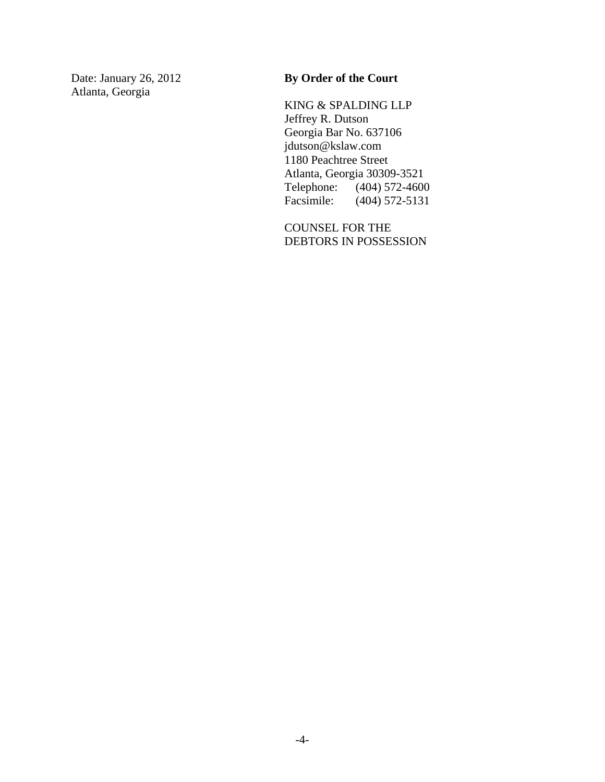Atlanta, Georgia

## Date: January 26, 2012 **By Order of the Court**

KING & SPALDING LLP Jeffrey R. Dutson Georgia Bar No. 637106 jdutson@kslaw.com 1180 Peachtree Street Atlanta, Georgia 30309-3521<br>Telephone: (404) 572-460 Telephone: (404) 572-4600<br>Facsimile: (404) 572-5131  $(404)$  572-5131

COUNSEL FOR THE DEBTORS IN POSSESSION